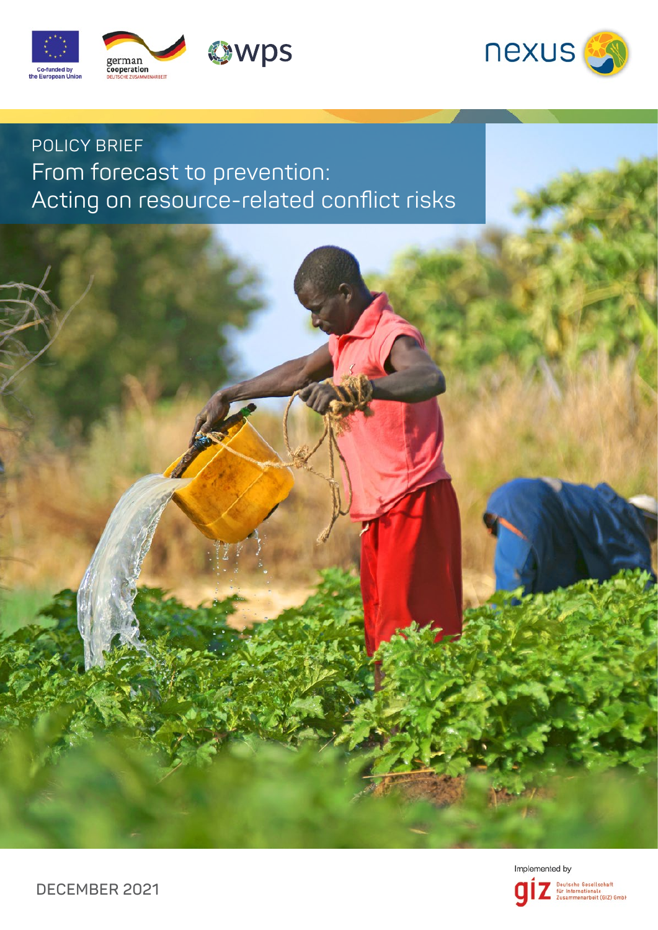



# POLICY BRIEF From forecast to prevention: Acting on resource-related conflict risks



Deutsche Gesellschaft<br>für Internationale<br>Zusammenarbeit (GIZ) GmbH

**DECEMBER 2021**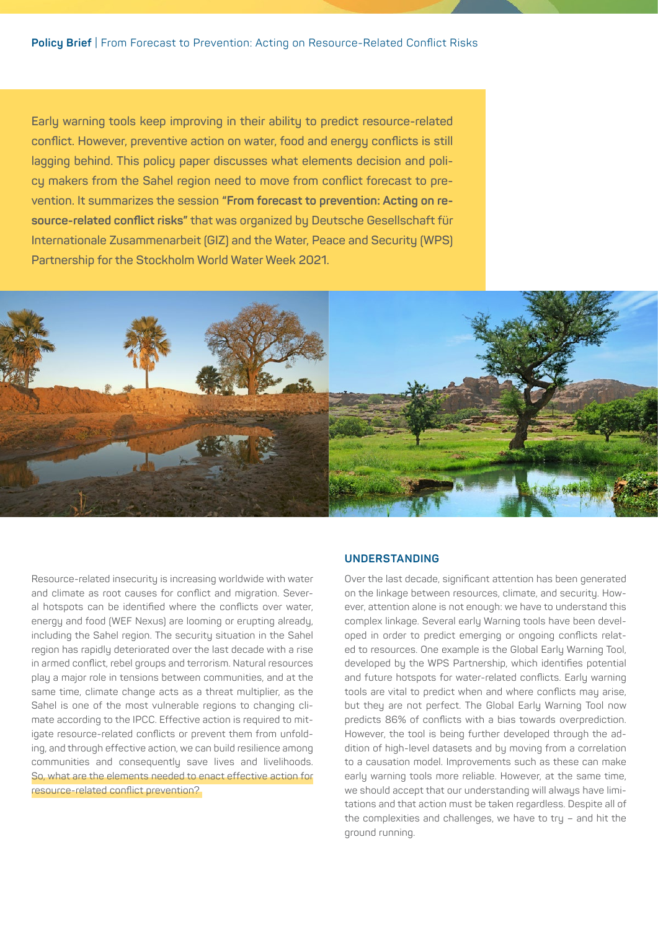**Early warning tools keep improving in their ability to predict resource-related conflict. However, preventive action on water, food and energy conflicts is still lagging behind. This policy paper discusses what elements decision and policy makers from the Sahel region need to move from conflict forecast to prevention. It summarizes the session "From forecast to prevention: Acting on resource-related conflict risks" that was organized by Deutsche Gesellschaft für Internationale Zusammenarbeit (GIZ) and the Water, Peace and Security (WPS) Partnership for the Stockholm World Water Week 2021.**



Resource-related insecurity is increasing worldwide with water and climate as root causes for conflict and migration. Several hotspots can be identified where the conflicts over water, energy and food (WEF Nexus) are looming or erupting already, including the Sahel region. The security situation in the Sahel region has rapidly deteriorated over the last decade with a rise in armed conflict, rebel groups and terrorism. Natural resources play a major role in tensions between communities, and at the same time, climate change acts as a threat multiplier, as the Sahel is one of the most vulnerable regions to changing climate according to the IPCC. Effective action is required to mitigate resource-related conflicts or prevent them from unfolding, and through effective action, we can build resilience among communities and consequently save lives and livelihoods. So, what are the elements needed to enact effective action for resource-related conflict prevention?

### **UNDERSTANDING**

Over the last decade, significant attention has been generated on the linkage between resources, climate, and security. However, attention alone is not enough: we have to understand this complex linkage. Several early Warning tools have been developed in order to predict emerging or ongoing conflicts related to resources. One example is the Global Early Warning Tool, developed by the WPS Partnership, which identifies potential and future hotspots for water-related conflicts. Early warning tools are vital to predict when and where conflicts may arise. but they are not perfect. The Global Early Warning Tool now predicts 86% of conflicts with a bias towards overprediction. However, the tool is being further developed through the addition of high-level datasets and by moving from a correlation to a causation model. Improvements such as these can make early warning tools more reliable. However, at the same time, we should accept that our understanding will always have limitations and that action must be taken regardless. Despite all of the complexities and challenges, we have to tru  $-$  and hit the ground running.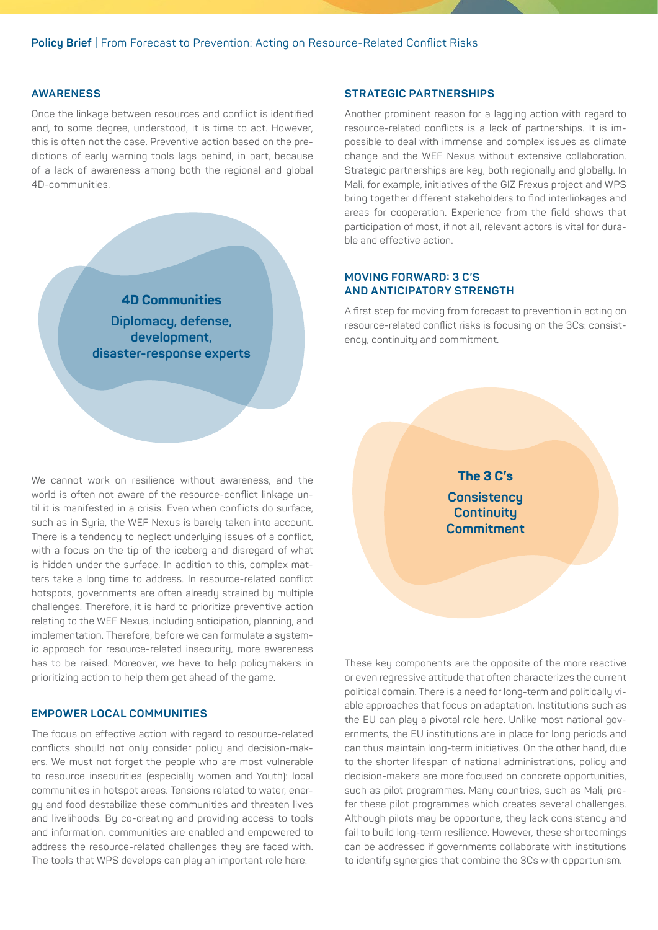## **AWARENESS**

Once the linkage between resources and conflict is identified and, to some degree, understood, it is time to act. However, this is often not the case. Preventive action based on the predictions of early warning tools lags behind, in part, because of a lack of awareness among both the regional and global 4D-communities.



### **STRATEGIC PARTNERSHIPS**

Another prominent reason for a lagging action with regard to resource-related conflicts is a lack of partnerships. It is impossible to deal with immense and complex issues as climate change and the WEF Nexus without extensive collaboration. Strategic partnerships are key, both regionally and globally. In Mali, for example, initiatives of the GIZ Frexus project and WPS bring together different stakeholders to find interlinkages and areas for cooperation. Experience from the field shows that participation of most, if not all, relevant actors is vital for durable and effective action.

## **MOVING FORWARD: 3 C'S AND ANTICIPATORY STRENGTH**

A first step for moving from forecast to prevention in acting on resource-related conflict risks is focusing on the 3Cs: consistency, continuity and commitment.

We cannot work on resilience without awareness, and the world is often not aware of the resource-conflict linkage until it is manifested in a crisis. Even when conflicts do surface, such as in Syria, the WEF Nexus is barely taken into account. There is a tendency to neglect underlying issues of a conflict, with a focus on the tip of the iceberg and disregard of what is hidden under the surface. In addition to this, complex matters take a long time to address. In resource-related conflict hotspots, governments are often already strained by multiple challenges. Therefore, it is hard to prioritize preventive action relating to the WEF Nexus, including anticipation, planning, and implementation. Therefore, before we can formulate a systemic approach for resource-related insecurity, more awareness has to be raised. Moreover, we have to help policumakers in prioritizing action to help them get ahead of the game.

## **EMPOWER LOCAL COMMUNITIES**

The focus on effective action with regard to resource-related conflicts should not only consider policy and decision-makers. We must not forget the people who are most vulnerable to resource insecurities (especially women and Youth): local communities in hotspot areas. Tensions related to water, energy and food destabilize these communities and threaten lives and livelihoods. By co-creating and providing access to tools and information, communities are enabled and empowered to address the resource-related challenges they are faced with. The tools that WPS develops can play an important role here.

**The 3 C's Consistency Continuity Commitment**

These key components are the opposite of the more reactive or even regressive attitude that often characterizes the current political domain. There is a need for long-term and politically viable approaches that focus on adaptation. Institutions such as the EU can play a pivotal role here. Unlike most national governments, the EU institutions are in place for long periods and can thus maintain long-term initiatives. On the other hand, due to the shorter lifespan of national administrations, policy and decision-makers are more focused on concrete opportunities, such as pilot programmes. Many countries, such as Mali, prefer these pilot programmes which creates several challenges. Although pilots may be opportune, they lack consistency and fail to build long-term resilience. However, these shortcomings can be addressed if governments collaborate with institutions to identify synergies that combine the 3Cs with opportunism.